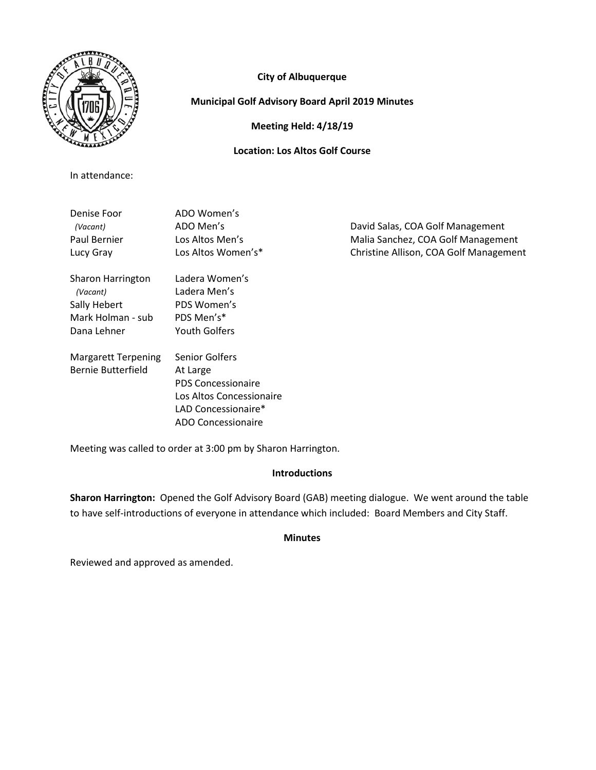

In attendance:

**City of Albuquerque**

# **Municipal Golf Advisory Board April 2019 Minutes**

**Meeting Held: 4/18/19**

# **Location: Los Altos Golf Course**

Denise Foor ADO Women's *(Vacant)* ADO Men's David Salas, COA Golf Management Paul Bernier **Los Altos Men's** Malia Sanchez, COA Golf Management Lucy Gray Los Altos Women's\* Christine Allison, COA Golf Management Sharon Harrington Ladera Women's  *(Vacant)* Ladera Men's Sally Hebert PDS Women's Mark Holman - sub PDS Men's\* Dana Lehner Youth Golfers Margarett Terpening Senior Golfers Bernie Butterfield At Large PDS Concessionaire Los Altos Concessionaire LAD Concessionaire\*

Meeting was called to order at 3:00 pm by Sharon Harrington.

ADO Concessionaire

# **Introductions**

**Sharon Harrington:** Opened the Golf Advisory Board (GAB) meeting dialogue. We went around the table to have self-introductions of everyone in attendance which included: Board Members and City Staff.

## **Minutes**

Reviewed and approved as amended.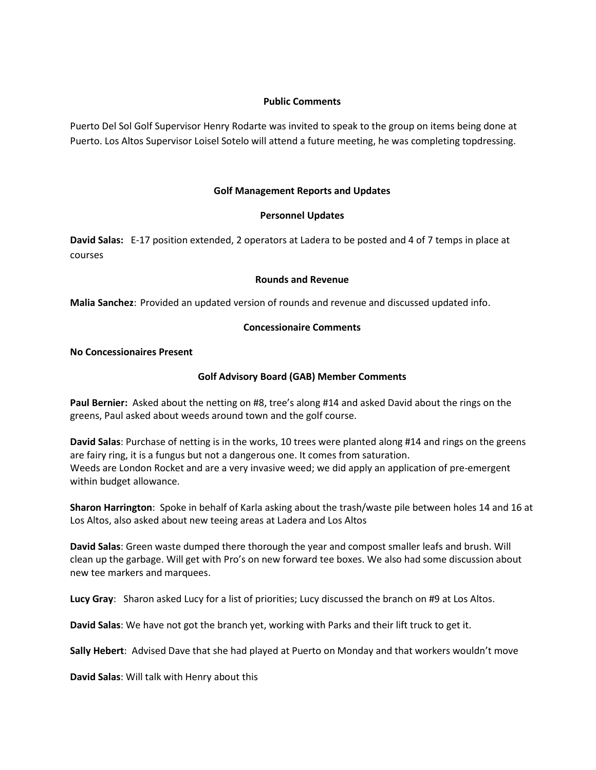### **Public Comments**

Puerto Del Sol Golf Supervisor Henry Rodarte was invited to speak to the group on items being done at Puerto. Los Altos Supervisor Loisel Sotelo will attend a future meeting, he was completing topdressing.

### **Golf Management Reports and Updates**

### **Personnel Updates**

**David Salas:** E-17 position extended, 2 operators at Ladera to be posted and 4 of 7 temps in place at courses

#### **Rounds and Revenue**

**Malia Sanchez**: Provided an updated version of rounds and revenue and discussed updated info.

### **Concessionaire Comments**

## **No Concessionaires Present**

## **Golf Advisory Board (GAB) Member Comments**

**Paul Bernier:** Asked about the netting on #8, tree's along #14 and asked David about the rings on the greens, Paul asked about weeds around town and the golf course.

**David Salas**: Purchase of netting is in the works, 10 trees were planted along #14 and rings on the greens are fairy ring, it is a fungus but not a dangerous one. It comes from saturation. Weeds are London Rocket and are a very invasive weed; we did apply an application of pre-emergent within budget allowance.

**Sharon Harrington**: Spoke in behalf of Karla asking about the trash/waste pile between holes 14 and 16 at Los Altos, also asked about new teeing areas at Ladera and Los Altos

**David Salas**: Green waste dumped there thorough the year and compost smaller leafs and brush. Will clean up the garbage. Will get with Pro's on new forward tee boxes. We also had some discussion about new tee markers and marquees.

**Lucy Gray**: Sharon asked Lucy for a list of priorities; Lucy discussed the branch on #9 at Los Altos.

**David Salas**: We have not got the branch yet, working with Parks and their lift truck to get it.

**Sally Hebert**: Advised Dave that she had played at Puerto on Monday and that workers wouldn't move

**David Salas**: Will talk with Henry about this